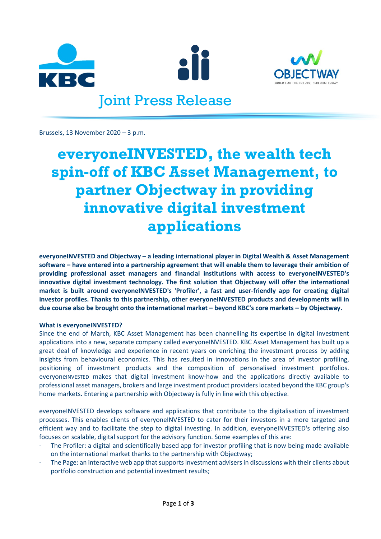





## Joint Press Release

Brussels, 13 November 2020 – 3 p.m.

# **everyoneINVESTED, the wealth tech spin-off of KBC Asset Management, to partner Objectway in providing innovative digital investment applications**

**everyoneINVESTED and Objectway – a leading international player in Digital Wealth & Asset Management software – have entered into a partnership agreement that will enable them to leverage their ambition of providing professional asset managers and financial institutions with access to everyoneINVESTED's innovative digital investment technology. The first solution that Objectway will offer the international market is built around everyoneINVESTED's 'Profiler', a fast and user-friendly app for creating digital investor profiles. Thanks to this partnership, other everyoneINVESTED products and developments will in due course also be brought onto the international market – beyond KBC's core markets – by Objectway.**

### **What is everyoneINVESTED?**

Since the end of March, KBC Asset Management has been channelling its expertise in digital investment applications into a new, separate company called everyoneINVESTED. KBC Asset Management has built up a great deal of knowledge and experience in recent years on enriching the investment process by adding insights from behavioural economics. This has resulted in innovations in the area of investor profiling, positioning of investment products and the composition of personalised investment portfolios. everyoneINVESTED makes that digital investment know-how and the applications directly available to professional asset managers, brokers and large investment product providers located beyond the KBC group's home markets. Entering a partnership with Objectway is fully in line with this objective.

everyoneINVESTED develops software and applications that contribute to the digitalisation of investment processes. This enables clients of everyoneINVESTED to cater for their investors in a more targeted and efficient way and to facilitate the step to digital investing. In addition, everyoneINVESTED's offering also focuses on scalable, digital support for the advisory function. Some examples of this are:

- The Profiler: a digital and scientifically based app for investor profiling that is now being made available on the international market thanks to the partnership with Objectway;
- The Page: an interactive web app that supports investment advisers in discussions with their clients about portfolio construction and potential investment results;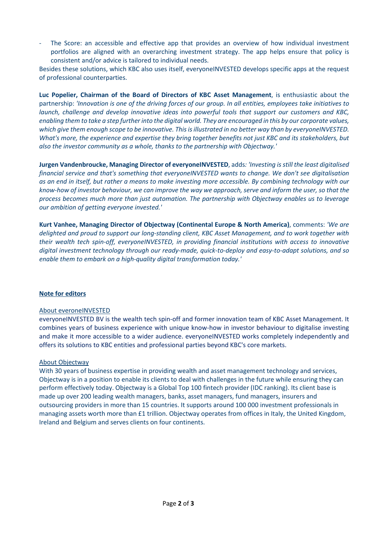The Score: an accessible and effective app that provides an overview of how individual investment portfolios are aligned with an overarching investment strategy. The app helps ensure that policy is consistent and/or advice is tailored to individual needs.

Besides these solutions, which KBC also uses itself, everyoneINVESTED develops specific apps at the request of professional counterparties.

**Luc Popelier, Chairman of the Board of Directors of KBC Asset Management**, is enthusiastic about the partnership: *'Innovation is one of the driving forces of our group. In all entities, employees take initiatives to launch, challenge and develop innovative ideas into powerful tools that support our customers and KBC, enabling them to take a step further into the digital world. They are encouraged in this by our corporate values, which give them enough scope to be innovative. This is illustrated in no better way than by everyoneINVESTED. What's more, the experience and expertise they bring together benefits not just KBC and its stakeholders, but also the investor community as a whole, thanks to the partnership with Objectway.'*

**Jurgen Vandenbroucke, Managing Director of everyoneINVESTED**, adds*: 'Investing is still the least digitalised financial service and that's something that everyoneINVESTED wants to change. We don't see digitalisation as an end in itself, but rather a means to make investing more accessible. By combining technology with our know-how of investor behaviour, we can improve the way we approach, serve and inform the user, so that the process becomes much more than just automation. The partnership with Objectway enables us to leverage our ambition of getting everyone invested.'*

**Kurt Vanhee, Managing Director of Objectway (Continental Europe & North America)**, comments: *'We are delighted and proud to support our long-standing client, KBC Asset Management, and to work together with their wealth tech spin-off, everyoneINVESTED, in providing financial institutions with access to innovative digital investment technology through our ready-made, quick-to-deploy and easy-to-adapt solutions, and so enable them to embark on a high-quality digital transformation today.'*

### **Note for editors**

### About everoneINVESTED

everyoneINVESTED BV is the wealth tech spin-off and former innovation team of KBC Asset Management. It combines years of business experience with unique know-how in investor behaviour to digitalise investing and make it more accessible to a wider audience. everyoneINVESTED works completely independently and offers its solutions to KBC entities and professional parties beyond KBC's core markets.

### About Objectway

With 30 years of business expertise in providing wealth and asset management technology and services, Objectway is in a position to enable its clients to deal with challenges in the future while ensuring they can perform effectively today. Objectway is a Global Top 100 fintech provider (IDC ranking). Its client base is made up over 200 leading wealth managers, banks, asset managers, fund managers, insurers and outsourcing providers in more than 15 countries. It supports around 100 000 investment professionals in managing assets worth more than £1 trillion. Objectway operates from offices in Italy, the United Kingdom, Ireland and Belgium and serves clients on four continents.